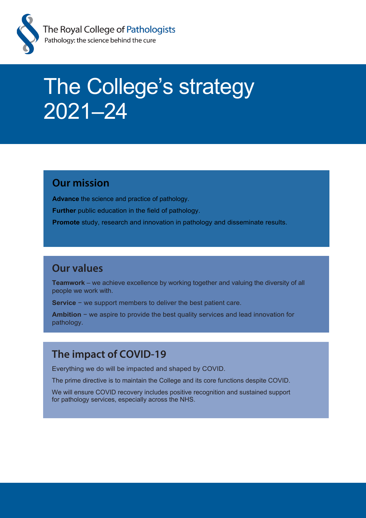

# The College's strategy 2021–24

### **Our mission**

**Advance** the science and practice of pathology.

**Further** public education in the field of pathology.

**Promote** study, research and innovation in pathology and disseminate results.

### **Our values**

**Teamwork** – we achieve excellence by working together and valuing the diversity of all people we work with.

**Service** − we support members to deliver the best patient care.

**Ambition** − we aspire to provide the best quality services and lead innovation for pathology.

### **The impact of COVID-19**

Everything we do will be impacted and shaped by COVID.

The prime directive is to maintain the College and its core functions despite COVID.

We will ensure COVID recovery includes positive recognition and sustained support for pathology services, especially across the NHS.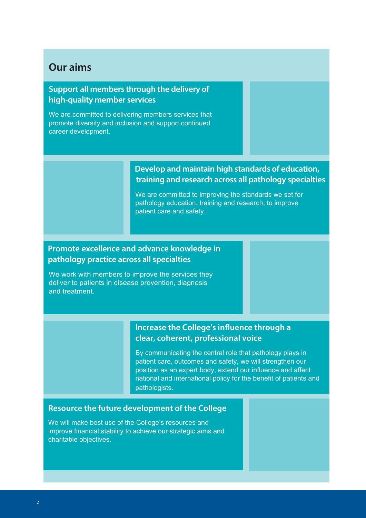### **Our aims**

#### **Support all members through the delivery of high-quality member services**

We are committed to delivering members services that promote diversity and inclusion and support continued career development.

#### **Develop and maintain high standards of education, training and research across all pathology specialties**

We are committed to improving the standards we set for pathology education, training and research, to improve patient care and safety.

#### **Promote excellence and advance knowledge in pathology practice across all specialties**

We work with members to improve the services they deliver to patients in disease prevention, diagnosis and treatment.

#### **Increase the College's influence through a clear, coherent, professional voice**

By communicating the central role that pathology plays in patient care, outcomes and safety, we will strengthen our position as an expert body, extend our influence and affect national and international policy for the benefit of patients and pathologists.

#### **Resource the future development of the College**

We will make best use of the College's resources and improve financial stability to achieve our strategic aims and charitable objectives.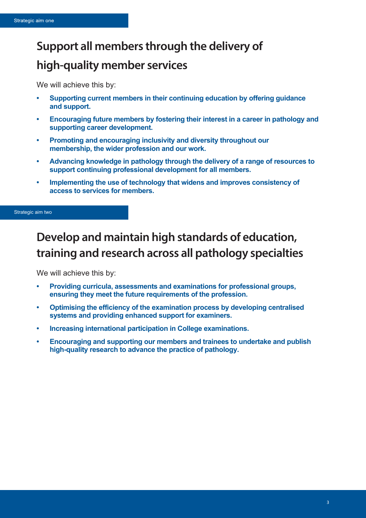# **Support all members through the delivery of high-quality member services**

We will achieve this by:

- **• Supporting current members in their continuing education by offering guidance and support.**
- **• Encouraging future members by fostering their interest in a career in pathology and supporting career development.**
- **• Promoting and encouraging inclusivity and diversity throughout our membership, the wider profession and our work.**
- **• Advancing knowledge in pathology through the delivery of a range of resources to support continuing professional development for all members.**
- **• Implementing the use of technology that widens and improves consistency of access to services for members.**

#### Strategic aim two

# **Develop and maintain high standards of education, training and research across all pathology specialties**

We will achieve this by:

- **• Providing curricula, assessments and examinations for professional groups, ensuring they meet the future requirements of the profession.**
- **• Optimising the efficiency of the examination process by developing centralised systems and providing enhanced support for examiners.**
- **• Increasing international participation in College examinations.**
- **• Encouraging and supporting our members and trainees to undertake and publish high-quality research to advance the practice of pathology.**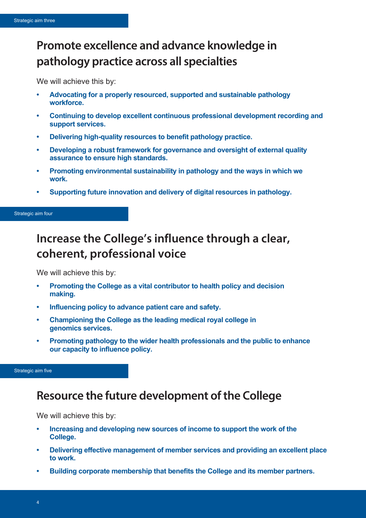# **Promote excellence and advance knowledge in pathology practice across all specialties**

We will achieve this by:

- **• Advocating for a properly resourced, supported and sustainable pathology workforce.**
- **• Continuing to develop excellent continuous professional development recording and support services.**
- **• Delivering high-quality resources to benefit pathology practice.**
- **• Developing a robust framework for governance and oversight of external quality assurance to ensure high standards.**
- **• Promoting environmental sustainability in pathology and the ways in which we work.**
- **• Supporting future innovation and delivery of digital resources in pathology.**

Strategic aim four

# **Increase the College's influence through a clear, coherent, professional voice**

We will achieve this by:

- **• Promoting the College as a vital contributor to health policy and decision making.**
- **• Influencing policy to advance patient care and safety.**
- **• Championing the College as the leading medical royal college in genomics services.**
- **• Promoting pathology to the wider health professionals and the public to enhance our capacity to influence policy.**

Strategic aim five

## **Resource the future development of the College**

We will achieve this by:

- **• Increasing and developing new sources of income to support the work of the College.**
- **• Delivering effective management of member services and providing an excellent place to work.**
- **• Building corporate membership that benefits the College and its member partners.**